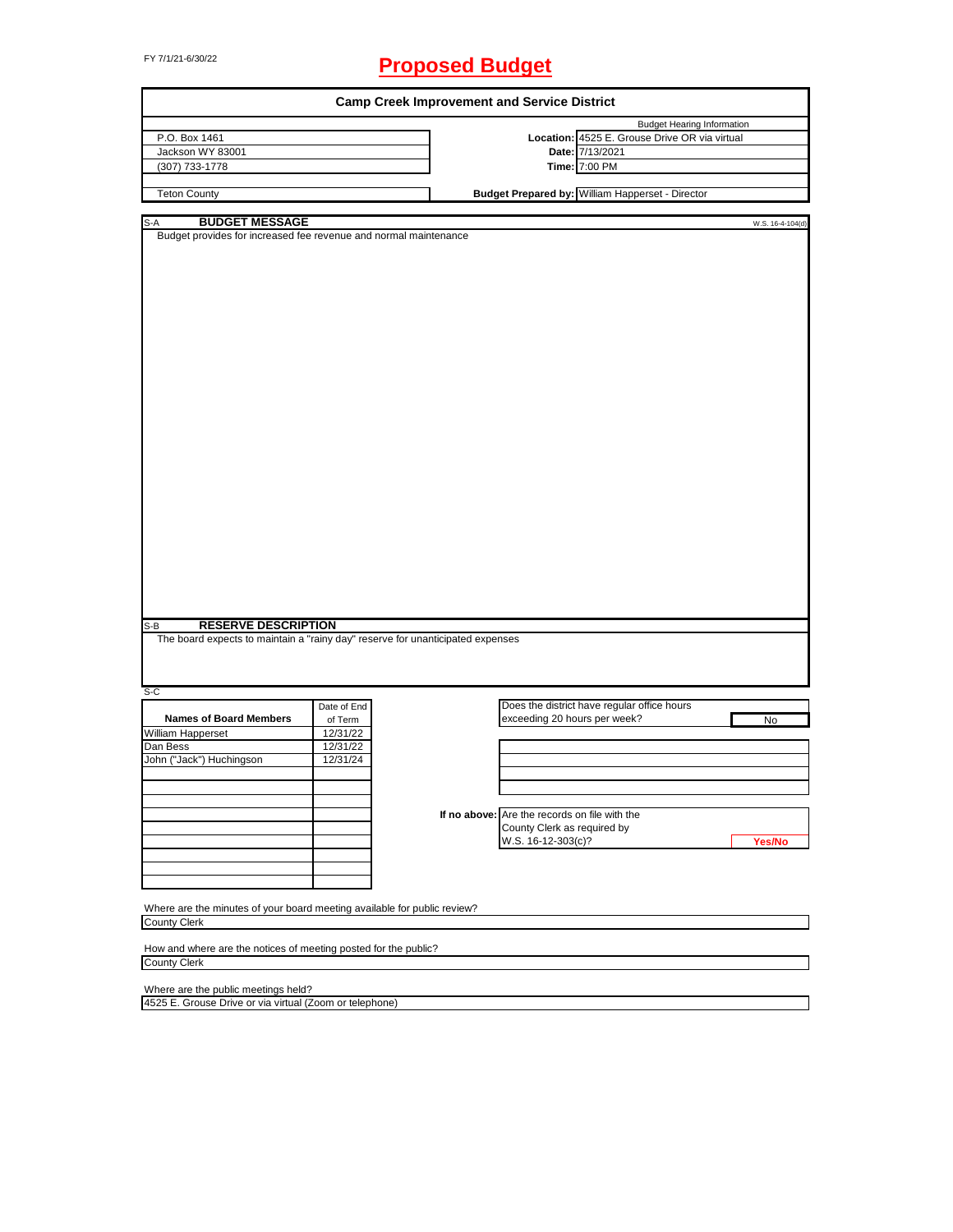# FY 7/1/21-6/30/22 **Proposed Budget**

|                                                                                                                                                                                                                                                                                             |                                                                                | <b>Camp Creek Improvement and Service District</b> |                                                  |                                   |
|---------------------------------------------------------------------------------------------------------------------------------------------------------------------------------------------------------------------------------------------------------------------------------------------|--------------------------------------------------------------------------------|----------------------------------------------------|--------------------------------------------------|-----------------------------------|
|                                                                                                                                                                                                                                                                                             |                                                                                |                                                    |                                                  | <b>Budget Hearing Information</b> |
| P.O. Box 1461                                                                                                                                                                                                                                                                               |                                                                                |                                                    | Location: 4525 E. Grouse Drive OR via virtual    |                                   |
| Jackson WY 83001                                                                                                                                                                                                                                                                            |                                                                                |                                                    | Date: 7/13/2021                                  |                                   |
| (307) 733-1778                                                                                                                                                                                                                                                                              |                                                                                |                                                    | Time: 7:00 PM                                    |                                   |
| <b>Teton County</b>                                                                                                                                                                                                                                                                         |                                                                                |                                                    | Budget Prepared by: William Happerset - Director |                                   |
|                                                                                                                                                                                                                                                                                             |                                                                                |                                                    |                                                  |                                   |
| <b>BUDGET MESSAGE</b><br>S-A                                                                                                                                                                                                                                                                |                                                                                |                                                    |                                                  | W.S. 16-4-104(d)                  |
| Budget provides for increased fee revenue and normal maintenance                                                                                                                                                                                                                            |                                                                                |                                                    |                                                  |                                   |
|                                                                                                                                                                                                                                                                                             |                                                                                |                                                    |                                                  |                                   |
|                                                                                                                                                                                                                                                                                             |                                                                                |                                                    |                                                  |                                   |
|                                                                                                                                                                                                                                                                                             |                                                                                |                                                    |                                                  |                                   |
|                                                                                                                                                                                                                                                                                             |                                                                                |                                                    |                                                  |                                   |
|                                                                                                                                                                                                                                                                                             |                                                                                |                                                    |                                                  |                                   |
|                                                                                                                                                                                                                                                                                             |                                                                                |                                                    |                                                  |                                   |
|                                                                                                                                                                                                                                                                                             |                                                                                |                                                    |                                                  |                                   |
|                                                                                                                                                                                                                                                                                             |                                                                                |                                                    |                                                  |                                   |
|                                                                                                                                                                                                                                                                                             |                                                                                |                                                    |                                                  |                                   |
|                                                                                                                                                                                                                                                                                             |                                                                                |                                                    |                                                  |                                   |
|                                                                                                                                                                                                                                                                                             |                                                                                |                                                    |                                                  |                                   |
|                                                                                                                                                                                                                                                                                             |                                                                                |                                                    |                                                  |                                   |
|                                                                                                                                                                                                                                                                                             |                                                                                |                                                    |                                                  |                                   |
|                                                                                                                                                                                                                                                                                             |                                                                                |                                                    |                                                  |                                   |
|                                                                                                                                                                                                                                                                                             |                                                                                |                                                    |                                                  |                                   |
|                                                                                                                                                                                                                                                                                             |                                                                                |                                                    |                                                  |                                   |
|                                                                                                                                                                                                                                                                                             |                                                                                |                                                    |                                                  |                                   |
|                                                                                                                                                                                                                                                                                             |                                                                                |                                                    |                                                  |                                   |
|                                                                                                                                                                                                                                                                                             |                                                                                |                                                    |                                                  |                                   |
|                                                                                                                                                                                                                                                                                             |                                                                                |                                                    |                                                  |                                   |
|                                                                                                                                                                                                                                                                                             |                                                                                |                                                    |                                                  |                                   |
|                                                                                                                                                                                                                                                                                             |                                                                                |                                                    |                                                  |                                   |
|                                                                                                                                                                                                                                                                                             |                                                                                |                                                    |                                                  |                                   |
|                                                                                                                                                                                                                                                                                             |                                                                                |                                                    |                                                  |                                   |
|                                                                                                                                                                                                                                                                                             |                                                                                |                                                    |                                                  |                                   |
|                                                                                                                                                                                                                                                                                             |                                                                                |                                                    |                                                  |                                   |
|                                                                                                                                                                                                                                                                                             |                                                                                |                                                    |                                                  |                                   |
|                                                                                                                                                                                                                                                                                             |                                                                                |                                                    |                                                  |                                   |
|                                                                                                                                                                                                                                                                                             |                                                                                |                                                    |                                                  |                                   |
| <b>RESERVE DESCRIPTION</b><br>$S-B$                                                                                                                                                                                                                                                         |                                                                                |                                                    |                                                  |                                   |
|                                                                                                                                                                                                                                                                                             |                                                                                |                                                    |                                                  |                                   |
|                                                                                                                                                                                                                                                                                             | The board expects to maintain a "rainy day" reserve for unanticipated expenses |                                                    |                                                  |                                   |
|                                                                                                                                                                                                                                                                                             |                                                                                |                                                    |                                                  |                                   |
|                                                                                                                                                                                                                                                                                             |                                                                                |                                                    |                                                  |                                   |
|                                                                                                                                                                                                                                                                                             |                                                                                |                                                    |                                                  |                                   |
|                                                                                                                                                                                                                                                                                             |                                                                                |                                                    |                                                  |                                   |
| S-C                                                                                                                                                                                                                                                                                         | Date of End                                                                    |                                                    | Does the district have regular office hours      |                                   |
| <b>Names of Board Members</b>                                                                                                                                                                                                                                                               | of Term                                                                        |                                                    | exceeding 20 hours per week?                     | No                                |
|                                                                                                                                                                                                                                                                                             | 12/31/22                                                                       |                                                    |                                                  |                                   |
|                                                                                                                                                                                                                                                                                             |                                                                                |                                                    |                                                  |                                   |
|                                                                                                                                                                                                                                                                                             | 12/31/22                                                                       |                                                    |                                                  |                                   |
|                                                                                                                                                                                                                                                                                             | 12/31/24                                                                       |                                                    |                                                  |                                   |
|                                                                                                                                                                                                                                                                                             |                                                                                |                                                    |                                                  |                                   |
|                                                                                                                                                                                                                                                                                             |                                                                                |                                                    |                                                  |                                   |
|                                                                                                                                                                                                                                                                                             |                                                                                |                                                    |                                                  |                                   |
|                                                                                                                                                                                                                                                                                             |                                                                                |                                                    | If no above: Are the records on file with the    |                                   |
|                                                                                                                                                                                                                                                                                             |                                                                                |                                                    | County Clerk as required by                      |                                   |
|                                                                                                                                                                                                                                                                                             |                                                                                |                                                    | W.S. 16-12-303(c)?                               | Yes/No                            |
|                                                                                                                                                                                                                                                                                             |                                                                                |                                                    |                                                  |                                   |
|                                                                                                                                                                                                                                                                                             |                                                                                |                                                    |                                                  |                                   |
|                                                                                                                                                                                                                                                                                             |                                                                                |                                                    |                                                  |                                   |
| <b>William Happerset</b><br>Dan Bess<br>John ("Jack") Huchingson                                                                                                                                                                                                                            |                                                                                |                                                    |                                                  |                                   |
|                                                                                                                                                                                                                                                                                             |                                                                                |                                                    |                                                  |                                   |
|                                                                                                                                                                                                                                                                                             |                                                                                |                                                    |                                                  |                                   |
|                                                                                                                                                                                                                                                                                             |                                                                                |                                                    |                                                  |                                   |
|                                                                                                                                                                                                                                                                                             |                                                                                |                                                    |                                                  |                                   |
|                                                                                                                                                                                                                                                                                             |                                                                                |                                                    |                                                  |                                   |
|                                                                                                                                                                                                                                                                                             |                                                                                |                                                    |                                                  |                                   |
|                                                                                                                                                                                                                                                                                             |                                                                                |                                                    |                                                  |                                   |
| Where are the minutes of your board meeting available for public review?<br><b>County Clerk</b><br>How and where are the notices of meeting posted for the public?<br><b>County Clerk</b><br>Where are the public meetings held?<br>4525 E. Grouse Drive or via virtual (Zoom or telephone) |                                                                                |                                                    |                                                  |                                   |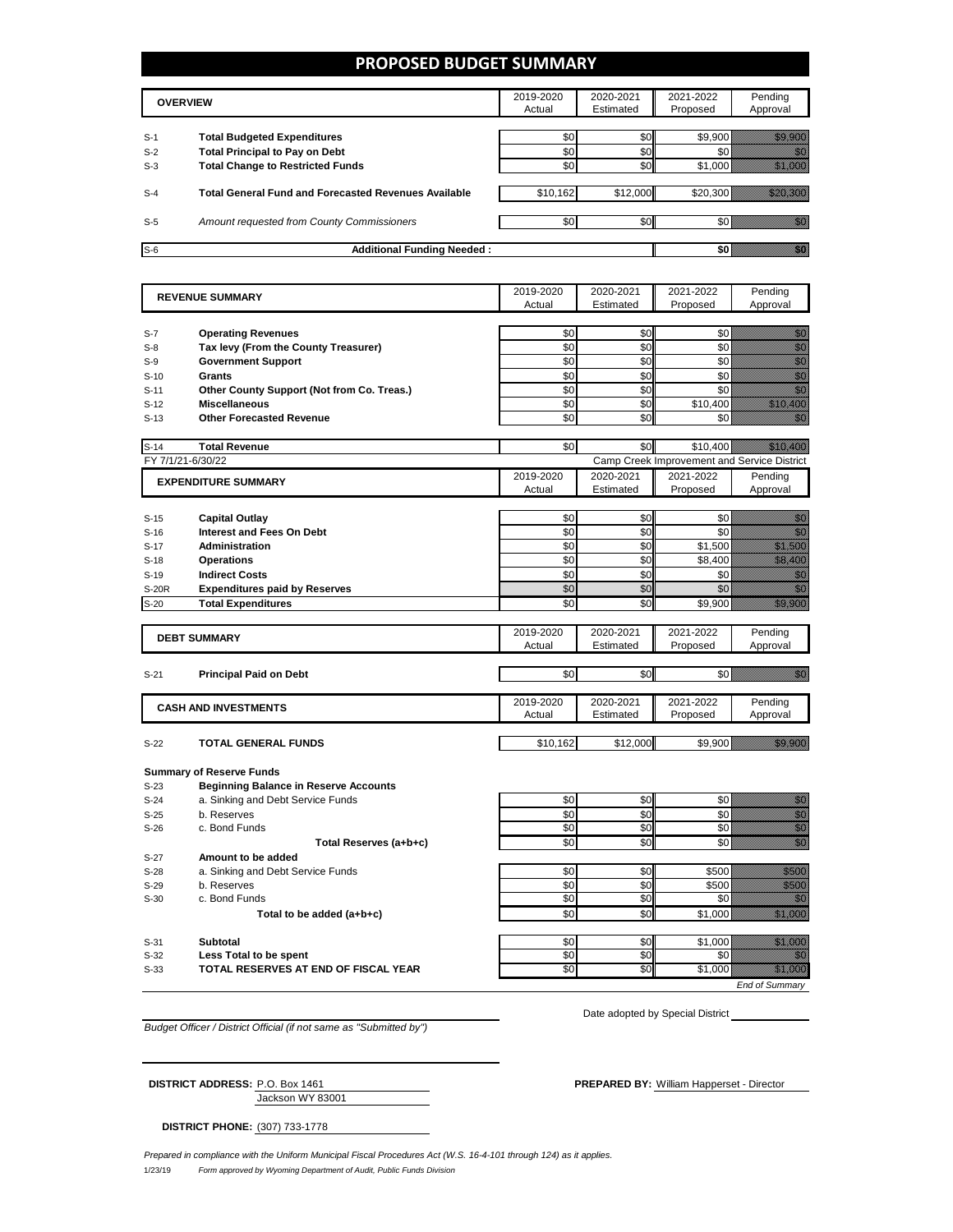### **PROPOSED BUDGET SUMMARY**

|                | <b>OVERVIEW</b>                                                                  | 2019-2020<br>Actual | 2020-2021<br>Estimated | 2021-2022<br>Proposed | Pendina<br>Approval |
|----------------|----------------------------------------------------------------------------------|---------------------|------------------------|-----------------------|---------------------|
| $S-1$          | <b>Total Budgeted Expenditures</b>                                               | \$0                 | \$0                    | \$9,900               |                     |
| $S-2$<br>$S-3$ | <b>Total Principal to Pay on Debt</b><br><b>Total Change to Restricted Funds</b> | \$0<br>\$0          | \$0<br>\$0             | \$1,000               |                     |
| $S-4$          | <b>Total General Fund and Forecasted Revenues Available</b>                      | \$10,162            | \$12,000               | \$20,300              |                     |
| $S-5$          | Amount requested from County Commissioners                                       | \$0                 | \$0                    |                       |                     |
| $S-6$          | <b>Additional Funding Needed:</b>                                                |                     |                        |                       |                     |

| <b>REVENUE SUMMARY</b> |                                              | 2019-2020 | 2020-2021 | 2021-2022                                   | Pending                                                                                                                                                                                                                          |
|------------------------|----------------------------------------------|-----------|-----------|---------------------------------------------|----------------------------------------------------------------------------------------------------------------------------------------------------------------------------------------------------------------------------------|
|                        |                                              | Actual    | Estimated | Proposed                                    | Approval                                                                                                                                                                                                                         |
|                        |                                              |           |           |                                             |                                                                                                                                                                                                                                  |
| $S-7$                  | <b>Operating Revenues</b>                    | \$0       | \$0       | \$0                                         | e de la provincia de la provincia de la provincia de la provincia de la provincia de la provincia de la provin<br>Casa de la provincia de la provincia de la provincia de la provincia de la provincia de la provincia de la pr  |
| $S-8$                  | Tax levy (From the County Treasurer)         | \$0       | \$0       | \$0                                         |                                                                                                                                                                                                                                  |
| $S-9$                  | <b>Government Support</b>                    | \$0       | \$0       | \$0                                         | en de la familie de la familie de la familie de la familie de la familie de la familie de la familie de la fam<br>Constitution de la familie de la familie de la familie de la familie de la familie de la familie de la familie |
| $S-10$                 | Grants                                       | \$0       | \$0       | \$0                                         | en<br>Maria                                                                                                                                                                                                                      |
| $S-11$                 | Other County Support (Not from Co. Treas.)   | \$0       | \$0       | \$0                                         | en de la filosofia<br>India                                                                                                                                                                                                      |
| $S-12$                 | <b>Miscellaneous</b>                         | \$0       | \$0       | \$10,400                                    | a katika katika katika katika katika katika alifuwa alifuwa alifuwa alifuwa alifuwa alifuwa alifuwa alifuwa a<br>Marejeo                                                                                                         |
| $S-13$                 | <b>Other Forecasted Revenue</b>              | \$0       | \$0       | \$0                                         | an<br>Mari                                                                                                                                                                                                                       |
|                        |                                              |           |           |                                             |                                                                                                                                                                                                                                  |
| $S-14$                 | <b>Total Revenue</b>                         | \$0       | \$0       | \$10,400                                    | <u> Mariji (1999)</u>                                                                                                                                                                                                            |
| FY 7/1/21-6/30/22      |                                              |           |           | Camp Creek Improvement and Service District |                                                                                                                                                                                                                                  |
|                        | <b>EXPENDITURE SUMMARY</b>                   | 2019-2020 | 2020-2021 | 2021-2022                                   | Pending                                                                                                                                                                                                                          |
|                        |                                              | Actual    | Estimated | Proposed                                    | Approval                                                                                                                                                                                                                         |
|                        |                                              |           |           |                                             |                                                                                                                                                                                                                                  |
| $S-15$                 | <b>Capital Outlay</b>                        | \$0       | \$0       | \$0                                         | elli S                                                                                                                                                                                                                           |
| $S-16$                 | <b>Interest and Fees On Debt</b>             | \$0       | \$0       | \$0                                         | en de la filosofia<br>Altres de la filòlogía                                                                                                                                                                                     |
| $S-17$                 | <b>Administration</b>                        | \$0       | \$0       | \$1,500                                     | <u>Miller Sta</u>                                                                                                                                                                                                                |
| $S-18$                 | <b>Operations</b>                            | \$0       | \$0       | \$8,400                                     | <u> Hillian Sa</u>                                                                                                                                                                                                               |
| $S-19$                 | <b>Indirect Costs</b>                        | \$0       | \$0       | \$0                                         | en de la forma de la forma de la forma de la forma de la forma de la forma de la forma de la forma de la forma<br>Específica                                                                                                     |
| <b>S-20R</b>           | <b>Expenditures paid by Reserves</b>         | \$0       | \$0       | \$0                                         | en de la familie de la familie de la familie de la familie de la familie de la familie de la familie de la fa<br>De la familie de la familie de la familie de la familie de la familie de la familie de la familie de la famili  |
| $S-20$                 | <b>Total Expenditures</b>                    | \$0       | \$0       | \$9,900                                     | <u>i ka</u>                                                                                                                                                                                                                      |
|                        |                                              |           |           |                                             |                                                                                                                                                                                                                                  |
|                        |                                              | 2019-2020 | 2020-2021 | 2021-2022                                   | Pending                                                                                                                                                                                                                          |
|                        | <b>DEBT SUMMARY</b>                          | Actual    | Estimated | Proposed                                    | Approval                                                                                                                                                                                                                         |
|                        |                                              |           |           |                                             |                                                                                                                                                                                                                                  |
| $S-21$                 | <b>Principal Paid on Debt</b>                | \$0       | \$0       | \$0                                         | en de la familie de la familie de la familie de la familie de la familie de la familie de la familie de la fa<br>Constituit de la familie de la familie de la familie de la familie de la familie de la familie de la familie d  |
|                        |                                              |           |           |                                             |                                                                                                                                                                                                                                  |
|                        | <b>CASH AND INVESTMENTS</b>                  | 2019-2020 | 2020-2021 | 2021-2022                                   | Pending                                                                                                                                                                                                                          |
|                        |                                              | Actual    | Estimated | Proposed                                    | Approval                                                                                                                                                                                                                         |
|                        |                                              |           |           |                                             |                                                                                                                                                                                                                                  |
| $S-22$                 | <b>TOTAL GENERAL FUNDS</b>                   | \$10,162  | \$12,000  | \$9.900                                     | <u>till i Sa</u>                                                                                                                                                                                                                 |
|                        |                                              |           |           |                                             |                                                                                                                                                                                                                                  |
|                        | <b>Summary of Reserve Funds</b>              |           |           |                                             |                                                                                                                                                                                                                                  |
| $S-23$                 | <b>Beginning Balance in Reserve Accounts</b> |           |           |                                             |                                                                                                                                                                                                                                  |
| $S-24$                 | a. Sinking and Debt Service Funds            | \$0       | \$0       | \$0                                         | enne<br>Mille                                                                                                                                                                                                                    |
| $S-25$                 | b. Reserves                                  | \$0       | \$0       | \$0                                         | e de la composición de la composición de la composición de la composición de la composición de la composición<br>Campo de la composición de la composición de la composición de la composición de la composición de la composic  |
| $S-26$                 | c. Bond Funds                                | \$0       | \$0       | \$0                                         |                                                                                                                                                                                                                                  |
|                        | Total Reserves (a+b+c)                       | \$0       | \$0       | \$0                                         | en de la familie de la familie de la familie de la familie de la familie de la familie de la familie de la fa<br>Constituit de la familie de la familie de la familie de la familie de la familie de la familie de la familie d  |
| $S-27$                 | Amount to be added                           |           |           |                                             |                                                                                                                                                                                                                                  |
| $S-28$                 | a. Sinking and Debt Service Funds            | \$0       | \$0       | \$500                                       | <u>tillisti</u>                                                                                                                                                                                                                  |
| $S-29$                 | b. Reserves                                  | \$0       | \$0       | \$500                                       | <u>till fra</u>                                                                                                                                                                                                                  |
| $S-30$                 | c. Bond Funds                                | \$0       | \$0       | \$0                                         | e di S                                                                                                                                                                                                                           |
|                        | Total to be added (a+b+c)                    | \$0       | \$0       | \$1,000                                     | <u>Mille Sa</u>                                                                                                                                                                                                                  |
|                        |                                              |           |           |                                             |                                                                                                                                                                                                                                  |
| $S-31$                 | Subtotal                                     | \$0       | \$0       | \$1,000                                     | <u>Miller Sta</u>                                                                                                                                                                                                                |
| $S-32$                 | Less Total to be spent                       | \$0       | \$0       | \$0                                         | e di provincia di concerta di concerta di concerta di concerta di concerta di concerta di concerta di concerta<br>Concerta di concerta di concerta di concerta di concerta di concerta di concerta di concerta di concerta di co |
| $S-33$                 | TOTAL RESERVES AT END OF FISCAL YEAR         | \$0       | \$0       | \$1,000                                     | <u> Hillian Sa</u>                                                                                                                                                                                                               |
|                        |                                              |           |           |                                             |                                                                                                                                                                                                                                  |
|                        |                                              |           |           |                                             | <b>End of Summary</b>                                                                                                                                                                                                            |

*Budget Officer / District Official (if not same as "Submitted by")*

| <b>DISTRICT ADDRESS: P.O. Box 1461</b> |                  | <b>PREPARED BY: William Happerset - Director</b> |  |
|----------------------------------------|------------------|--------------------------------------------------|--|
|                                        | Jackson WY 83001 |                                                  |  |

Date adopted by Special District \_\_\_

**DISTRICT PHONE:** (307) 733-1778

1/23/19 *Form approved by Wyoming Department of Audit, Public Funds Division Prepared in compliance with the Uniform Municipal Fiscal Procedures Act (W.S. 16-4-101 through 124) as it applies.*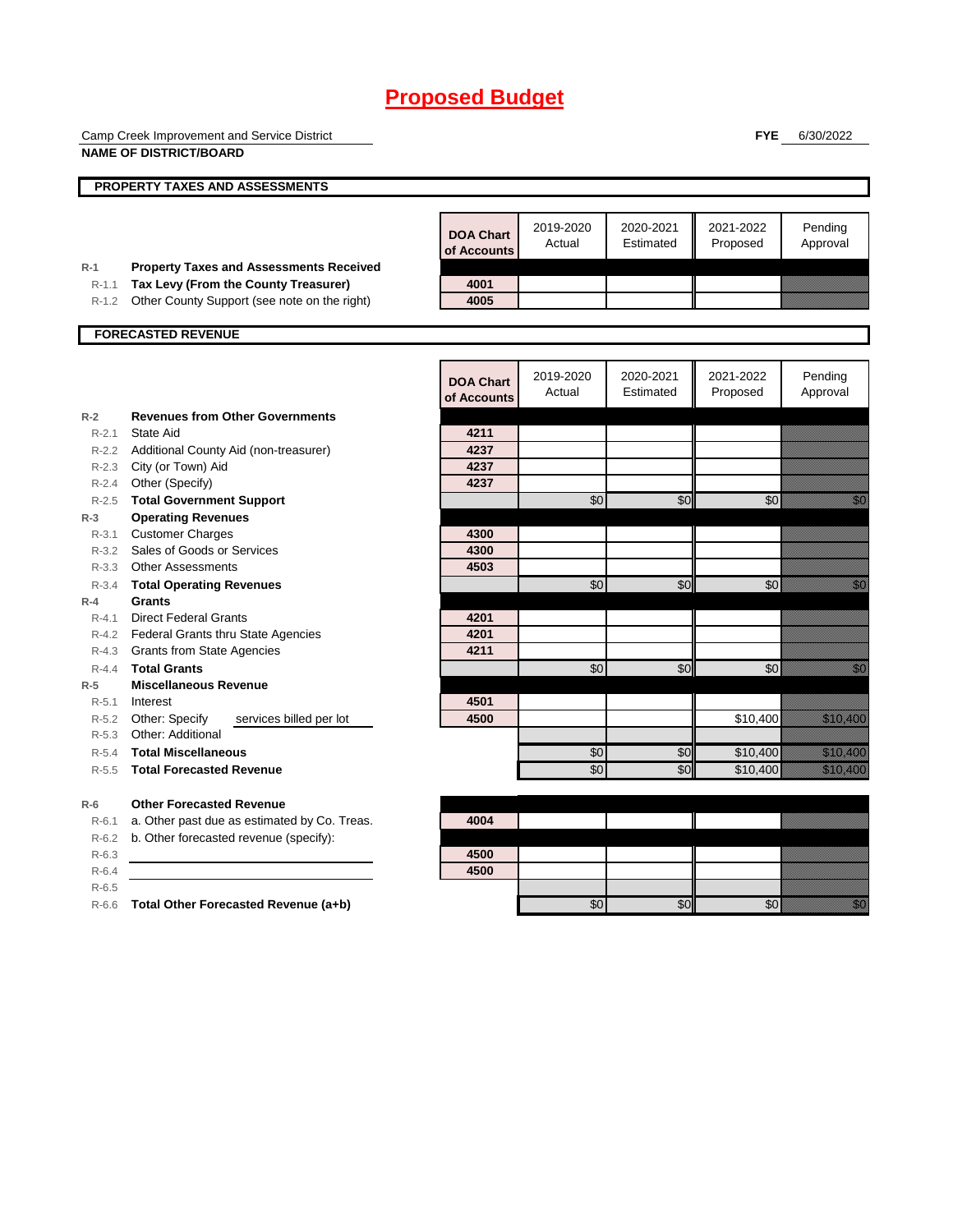|                    | Camp Creek Improvement and Service District                                            |                                 |                     |                        | <b>FYE</b>            | 6/30/2022                                                                                                                                                                                                                        |
|--------------------|----------------------------------------------------------------------------------------|---------------------------------|---------------------|------------------------|-----------------------|----------------------------------------------------------------------------------------------------------------------------------------------------------------------------------------------------------------------------------|
|                    | <b>NAME OF DISTRICT/BOARD</b>                                                          |                                 |                     |                        |                       |                                                                                                                                                                                                                                  |
|                    | PROPERTY TAXES AND ASSESSMENTS                                                         |                                 |                     |                        |                       |                                                                                                                                                                                                                                  |
|                    |                                                                                        |                                 |                     |                        |                       |                                                                                                                                                                                                                                  |
|                    |                                                                                        | <b>DOA Chart</b><br>of Accounts | 2019-2020<br>Actual | 2020-2021<br>Estimated | 2021-2022<br>Proposed | Pending<br>Approval                                                                                                                                                                                                              |
| $R-1$<br>$R-1.1$   | <b>Property Taxes and Assessments Received</b><br>Tax Levy (From the County Treasurer) | 4001                            |                     |                        |                       |                                                                                                                                                                                                                                  |
|                    | R-1.2 Other County Support (see note on the right)                                     | 4005                            |                     |                        |                       |                                                                                                                                                                                                                                  |
|                    |                                                                                        |                                 |                     |                        |                       |                                                                                                                                                                                                                                  |
|                    | <b>FORECASTED REVENUE</b>                                                              |                                 |                     |                        |                       |                                                                                                                                                                                                                                  |
|                    |                                                                                        | <b>DOA Chart</b><br>of Accounts | 2019-2020<br>Actual | 2020-2021<br>Estimated | 2021-2022<br>Proposed | Pending<br>Approval                                                                                                                                                                                                              |
| $R-2$              | <b>Revenues from Other Governments</b>                                                 |                                 |                     |                        |                       |                                                                                                                                                                                                                                  |
| $R - 2.1$          | <b>State Aid</b>                                                                       | 4211                            |                     |                        |                       |                                                                                                                                                                                                                                  |
| $R - 2.2$          | Additional County Aid (non-treasurer)                                                  | 4237                            |                     |                        |                       |                                                                                                                                                                                                                                  |
| $R - 2.3$<br>R-2.4 | City (or Town) Aid<br>Other (Specify)                                                  | 4237<br>4237                    |                     |                        |                       |                                                                                                                                                                                                                                  |
| R-2.5              | <b>Total Government Support</b>                                                        |                                 | \$0                 | \$0                    | \$0                   | en de la familie de la familie de la familie de la familie de la familie de la familie de la familie de la fam<br>Constituit de la familie de la familie de la familie de la familie de la familie de la familie de la familie d |
| $R-3$              | <b>Operating Revenues</b>                                                              |                                 |                     |                        |                       |                                                                                                                                                                                                                                  |
| $R - 3.1$          | <b>Customer Charges</b>                                                                | 4300                            |                     |                        |                       |                                                                                                                                                                                                                                  |
|                    | R-3.2 Sales of Goods or Services                                                       | 4300                            |                     |                        |                       |                                                                                                                                                                                                                                  |
|                    | R-3.3 Other Assessments                                                                | 4503                            |                     |                        |                       |                                                                                                                                                                                                                                  |
| $R - 3.4$          | <b>Total Operating Revenues</b>                                                        |                                 | \$0                 | \$0                    | \$0                   | en de la familie de la familie de la familie de la familie de la familie de la familie de la familie de la fam<br>Constituit de la familie de la familie de la familie de la familie de la familie de la familie de la familie d |
| $R-4$              | <b>Grants</b>                                                                          |                                 |                     |                        |                       |                                                                                                                                                                                                                                  |
| $R - 4.1$          | <b>Direct Federal Grants</b>                                                           | 4201                            |                     |                        |                       |                                                                                                                                                                                                                                  |
| R-4.2              | <b>Federal Grants thru State Agencies</b>                                              | 4201                            |                     |                        |                       |                                                                                                                                                                                                                                  |
| R-4.3              | <b>Grants from State Agencies</b>                                                      | 4211                            |                     |                        |                       |                                                                                                                                                                                                                                  |
| $R - 4.4$          | <b>Total Grants</b>                                                                    |                                 | \$0                 | \$0                    | \$0                   | en de la familie de la familie de la familie de la familie de la familie de la familie de la familie de la fa<br>Concelho de la familie de la familie de la familie de la familie de la familie de la familie de la familie de   |
| $R-5$              | <b>Miscellaneous Revenue</b>                                                           |                                 |                     |                        |                       |                                                                                                                                                                                                                                  |
| $R - 5.1$<br>R-5.2 | Interest<br>Other: Specify<br>services billed per lot                                  | 4501<br>4500                    |                     |                        | \$10,400              | <u> Kalendari Sa</u>                                                                                                                                                                                                             |
| $R - 5.3$          | Other: Additional                                                                      |                                 |                     |                        |                       |                                                                                                                                                                                                                                  |
| $R-5.4$            | <b>Total Miscellaneous</b>                                                             |                                 | \$0                 | \$0                    | \$10,400              | <u> Hillingar í H</u>                                                                                                                                                                                                            |
| $R - 5.5$          | <b>Total Forecasted Revenue</b>                                                        |                                 | \$0                 | \$0                    | \$10,400              | <u> Mariji (</u>                                                                                                                                                                                                                 |
|                    |                                                                                        |                                 |                     |                        |                       |                                                                                                                                                                                                                                  |
| $R-6$              | <b>Other Forecasted Revenue</b>                                                        |                                 |                     |                        |                       |                                                                                                                                                                                                                                  |
| R-6.1              | a. Other past due as estimated by Co. Treas.                                           | 4004                            |                     |                        |                       |                                                                                                                                                                                                                                  |
| $R-6.2$            | b. Other forecasted revenue (specify):                                                 |                                 |                     |                        |                       |                                                                                                                                                                                                                                  |
| $R-6.3$            |                                                                                        | 4500                            |                     |                        |                       |                                                                                                                                                                                                                                  |
| $R-6.4$<br>$R-6.5$ |                                                                                        | 4500                            |                     |                        |                       |                                                                                                                                                                                                                                  |
|                    | R-6.6 Total Other Forecasted Revenue (a+b)                                             |                                 | \$0                 | \$0                    | \$0                   | en de la familie de la familie de la familie de la familie de la familie de la familie de la familie de la fam<br>Estat de la familie de la familie de la familie de la familie de la familie de la familie de la familie de la  |
|                    |                                                                                        |                                 |                     |                        |                       |                                                                                                                                                                                                                                  |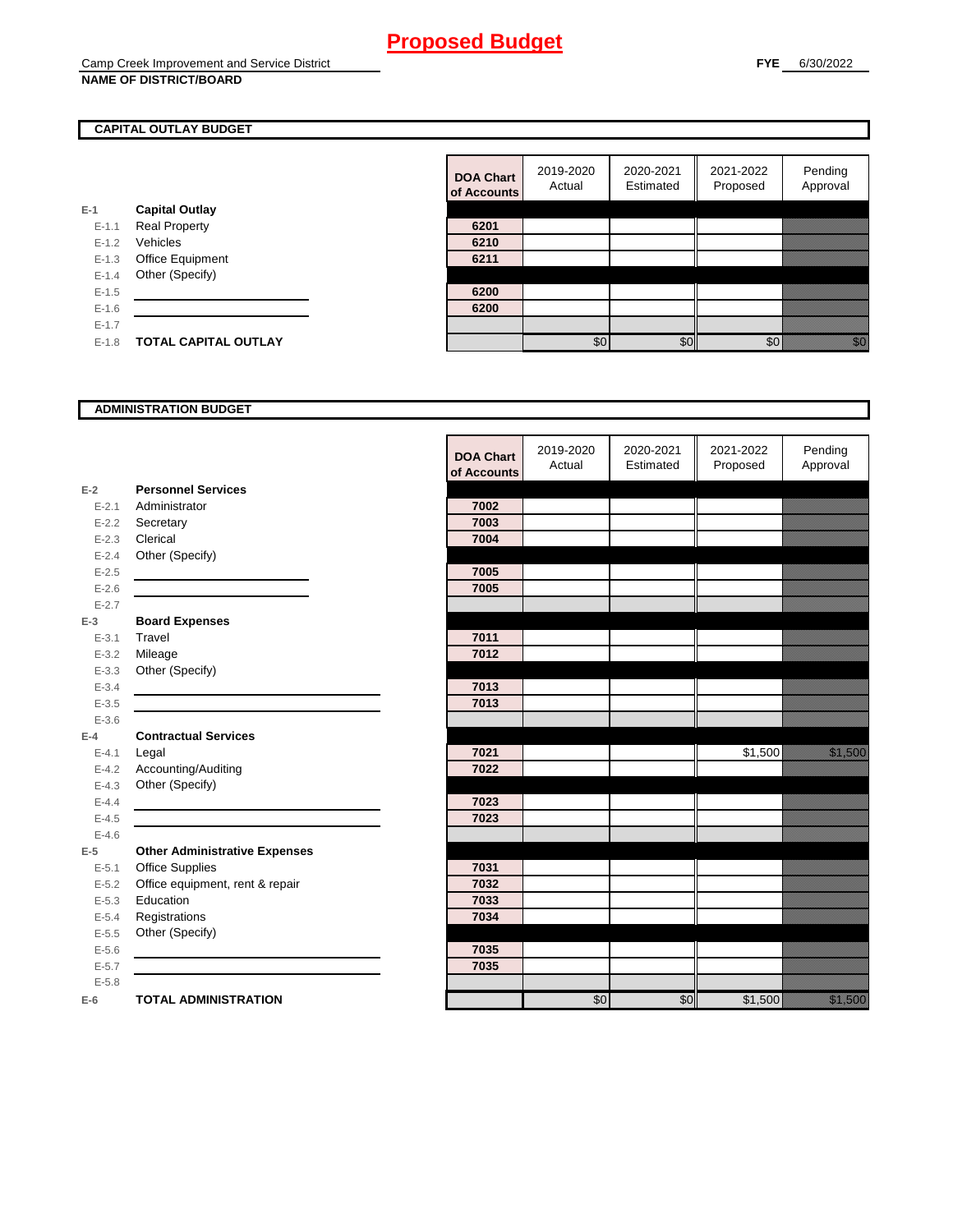### **CAPITAL OUTLAY BUDGET**

|           |                             | vi nuuv |
|-----------|-----------------------------|---------|
| $E-1$     | <b>Capital Outlay</b>       |         |
| $E - 1.1$ | <b>Real Property</b>        | 6201    |
| $E-1.2$   | Vehicles                    | 6210    |
| $E-1.3$   | Office Equipment            | 6211    |
| $E - 1.4$ | Other (Specify)             |         |
| $E - 1.5$ |                             | 6200    |
| $E - 1.6$ |                             | 6200    |
| $E - 1.7$ |                             |         |
| $E - 1.8$ | <b>TOTAL CAPITAL OUTLAY</b> |         |
|           |                             |         |

| <b>DOA Chart</b><br>of Accounts | 2019-2020<br>Actual | 2020-2021<br>Estimated | 2021-2022<br>Proposed | Pending<br>Approval |
|---------------------------------|---------------------|------------------------|-----------------------|---------------------|
|                                 |                     |                        |                       |                     |
| 6201                            |                     |                        |                       |                     |
| 6210                            |                     |                        |                       |                     |
| 6211                            |                     |                        |                       |                     |
|                                 |                     |                        |                       |                     |
| 6200                            |                     |                        |                       |                     |
| 6200                            |                     |                        |                       |                     |
|                                 |                     |                        |                       |                     |
|                                 | ፍሰ                  |                        |                       |                     |

#### **ADMINISTRATION BUDGET**

|           |                                      | <b>DOA Chart</b><br>of Accounts | 2019-2020<br>Actual | 2020-2021<br>Estimated | 2021-2022<br>Proposed | Pending<br>Approval      |
|-----------|--------------------------------------|---------------------------------|---------------------|------------------------|-----------------------|--------------------------|
| $E-2$     | <b>Personnel Services</b>            |                                 |                     |                        |                       |                          |
| $E - 2.1$ | Administrator                        | 7002                            |                     |                        |                       |                          |
| $E - 2.2$ | Secretary                            | 7003                            |                     |                        |                       |                          |
| $E - 2.3$ | Clerical                             | 7004                            |                     |                        |                       |                          |
| $E - 2.4$ | Other (Specify)                      |                                 |                     |                        |                       |                          |
| $E-2.5$   |                                      | 7005                            |                     |                        |                       |                          |
| $E - 2.6$ |                                      | 7005                            |                     |                        |                       |                          |
| $E - 2.7$ |                                      |                                 |                     |                        |                       |                          |
| $E-3$     | <b>Board Expenses</b>                |                                 |                     |                        |                       |                          |
| $E - 3.1$ | Travel                               | 7011                            |                     |                        |                       |                          |
| $E - 3.2$ | Mileage                              | 7012                            |                     |                        |                       |                          |
| $E - 3.3$ | Other (Specify)                      |                                 |                     |                        |                       |                          |
| $E - 3.4$ |                                      | 7013                            |                     |                        |                       |                          |
| $E - 3.5$ |                                      | 7013                            |                     |                        |                       |                          |
| $E - 3.6$ |                                      |                                 |                     |                        |                       |                          |
| $E-4$     | <b>Contractual Services</b>          |                                 |                     |                        |                       |                          |
| $E - 4.1$ | Legal                                | 7021                            |                     |                        | \$1,500               | <u> Karlin Sarajan (</u> |
| $E-4.2$   | Accounting/Auditing                  | 7022                            |                     |                        |                       |                          |
| $E - 4.3$ | Other (Specify)                      |                                 |                     |                        |                       |                          |
| $E-4.4$   |                                      | 7023                            |                     |                        |                       |                          |
| $E-4.5$   |                                      | 7023                            |                     |                        |                       |                          |
| $E - 4.6$ |                                      |                                 |                     |                        |                       |                          |
| $E-5$     | <b>Other Administrative Expenses</b> |                                 |                     |                        |                       |                          |
| $E - 5.1$ | Office Supplies                      | 7031                            |                     |                        |                       |                          |
| $E - 5.2$ | Office equipment, rent & repair      | 7032                            |                     |                        |                       |                          |
| $E - 5.3$ | Education                            | 7033                            |                     |                        |                       |                          |
| $E - 5.4$ | Registrations                        | 7034                            |                     |                        |                       |                          |
| $E - 5.5$ | Other (Specify)                      |                                 |                     |                        |                       |                          |
| $E - 5.6$ |                                      | 7035                            |                     |                        |                       |                          |
| $E - 5.7$ |                                      | 7035                            |                     |                        |                       |                          |
| $E - 5.8$ |                                      |                                 |                     |                        |                       |                          |
| $E-6$     | <b>TOTAL ADMINISTRATION</b>          |                                 | \$0                 | \$0                    | \$1,500               | a a an an t-             |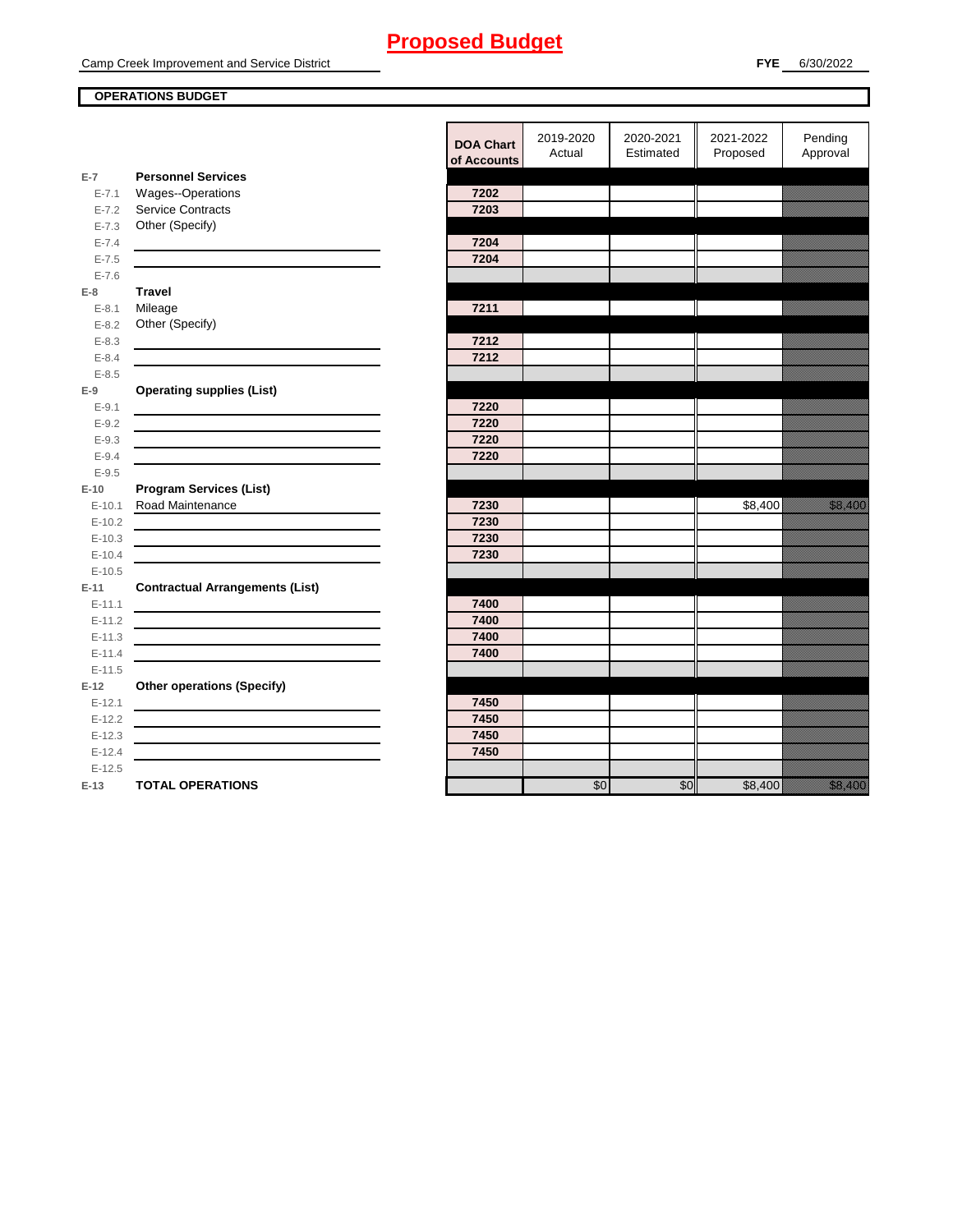### **OPERATIONS BUDGET**

**E-7**

**E-8 Travel**

**E-9**

**E-10**

**E-11 Contractual Arrangements (List)** 

**E-12 Other operations (Specify)** 

|           |                                                                                 | <b>DOA Chart</b><br>of Accounts | 2019-2020<br>Actual | 2020-2021<br>Estimated | 2021-2022<br>Proposed | Pending<br>Approval           |
|-----------|---------------------------------------------------------------------------------|---------------------------------|---------------------|------------------------|-----------------------|-------------------------------|
| $E-7$     | <b>Personnel Services</b>                                                       |                                 |                     |                        |                       |                               |
| $E - 7.1$ | Wages--Operations                                                               | 7202                            |                     |                        |                       |                               |
| $E - 7.2$ | <b>Service Contracts</b>                                                        | 7203                            |                     |                        |                       |                               |
| $E - 7.3$ | Other (Specify)                                                                 |                                 |                     |                        |                       |                               |
| $E - 7.4$ |                                                                                 | 7204                            |                     |                        |                       |                               |
| $E - 7.5$ |                                                                                 | 7204                            |                     |                        |                       |                               |
| $E - 7.6$ |                                                                                 |                                 |                     |                        |                       |                               |
| E-8       | <b>Travel</b>                                                                   |                                 |                     |                        |                       |                               |
| $E - 8.1$ | Mileage                                                                         | 7211                            |                     |                        |                       |                               |
| $E - 8.2$ | Other (Specify)                                                                 |                                 |                     |                        |                       |                               |
| $E - 8.3$ |                                                                                 | 7212                            |                     |                        |                       |                               |
| $E - 8.4$ |                                                                                 | 7212                            |                     |                        |                       |                               |
| $E - 8.5$ |                                                                                 |                                 |                     |                        |                       |                               |
| $E-9$     | <b>Operating supplies (List)</b>                                                |                                 |                     |                        |                       |                               |
| $E - 9.1$ |                                                                                 | 7220                            |                     |                        |                       |                               |
| $E - 9.2$ |                                                                                 | 7220                            |                     |                        |                       |                               |
| $E - 9.3$ |                                                                                 | 7220                            |                     |                        |                       |                               |
| $E - 9.4$ |                                                                                 | 7220                            |                     |                        |                       |                               |
| $E - 9.5$ |                                                                                 |                                 |                     |                        |                       |                               |
| $E-10$    | <b>Program Services (List)</b>                                                  |                                 |                     |                        |                       |                               |
| $E-10.1$  | Road Maintenance                                                                | 7230                            |                     |                        | \$8,400               | <u>i karatifunggan dan pa</u> |
| $E-10.2$  |                                                                                 | 7230                            |                     |                        |                       |                               |
| $E-10.3$  |                                                                                 | 7230                            |                     |                        |                       |                               |
| $E-10.4$  |                                                                                 | 7230                            |                     |                        |                       |                               |
| $E-10.5$  |                                                                                 |                                 |                     |                        |                       |                               |
| $E-11$    | <b>Contractual Arrangements (List)</b>                                          |                                 |                     |                        |                       |                               |
| $E-11.1$  |                                                                                 | 7400                            |                     |                        |                       |                               |
| $E-11.2$  | <u> 1989 - Johann Stoff, amerikansk politiker (d. 1989)</u>                     | 7400                            |                     |                        |                       |                               |
| $E-11.3$  | the contract of the contract of the contract of the contract of the contract of | 7400                            |                     |                        |                       |                               |
| $E-11.4$  |                                                                                 | 7400                            |                     |                        |                       |                               |
| $E-11.5$  |                                                                                 |                                 |                     |                        |                       |                               |
| $E-12$    | <b>Other operations (Specify)</b>                                               |                                 |                     |                        |                       |                               |
| $E-12.1$  |                                                                                 | 7450                            |                     |                        |                       |                               |
| $E-12.2$  |                                                                                 | 7450                            |                     |                        |                       |                               |
| $E-12.3$  |                                                                                 | 7450                            |                     |                        |                       |                               |
| $E-12.4$  |                                                                                 | 7450                            |                     |                        |                       |                               |
| $E-12.5$  |                                                                                 |                                 |                     |                        |                       |                               |
| E-13      | <b>TOTAL OPERATIONS</b>                                                         |                                 | \$0                 | \$0                    | \$8,400               | <u>in Maria Sa</u>            |
|           |                                                                                 |                                 |                     |                        |                       |                               |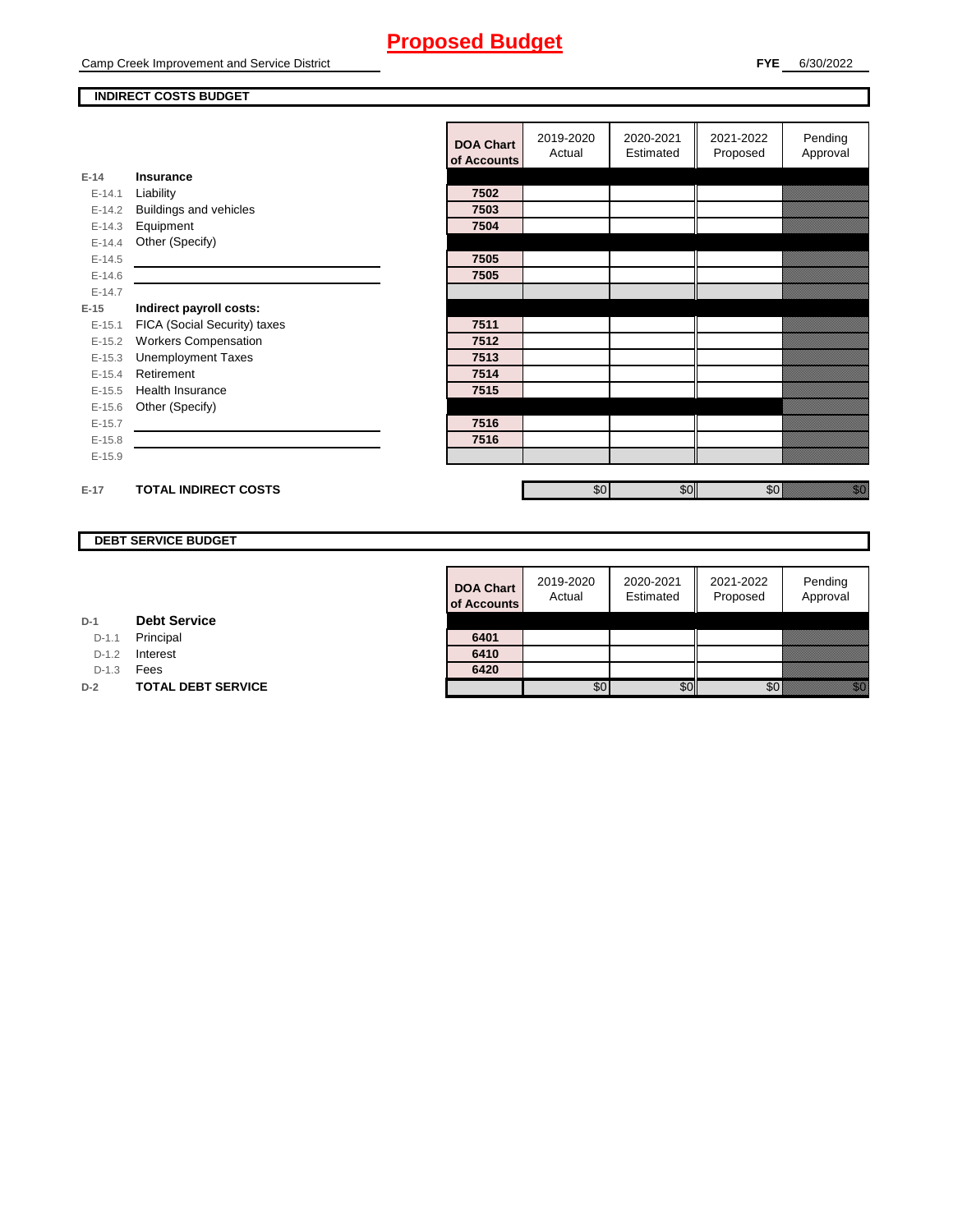Camp Creek Improvement and Service District

#### **FYE** 6/30/2022

#### **INDIRECT COSTS BUDGET**

|          |                               | <b>DOA Chart</b><br>of Accounts | 2019-2020<br>Actual | 2020-2021<br>Estimated | 2021-2022<br>Proposed | Pending<br>Approval                                                                                                                                                                                                             |
|----------|-------------------------------|---------------------------------|---------------------|------------------------|-----------------------|---------------------------------------------------------------------------------------------------------------------------------------------------------------------------------------------------------------------------------|
| $E-14$   | <b>Insurance</b>              |                                 |                     |                        |                       |                                                                                                                                                                                                                                 |
| $E-14.1$ | Liability                     | 7502                            |                     |                        |                       |                                                                                                                                                                                                                                 |
| $E-14.2$ | <b>Buildings and vehicles</b> | 7503                            |                     |                        |                       |                                                                                                                                                                                                                                 |
| $E-14.3$ | Equipment                     | 7504                            |                     |                        |                       |                                                                                                                                                                                                                                 |
| $E-14.4$ | Other (Specify)               |                                 |                     |                        |                       |                                                                                                                                                                                                                                 |
| $E-14.5$ |                               | 7505                            |                     |                        |                       |                                                                                                                                                                                                                                 |
| $E-14.6$ |                               | 7505                            |                     |                        |                       |                                                                                                                                                                                                                                 |
| $E-14.7$ |                               |                                 |                     |                        |                       |                                                                                                                                                                                                                                 |
| $E-15$   | Indirect payroll costs:       |                                 |                     |                        |                       |                                                                                                                                                                                                                                 |
| $E-15.1$ | FICA (Social Security) taxes  | 7511                            |                     |                        |                       |                                                                                                                                                                                                                                 |
| $E-15.2$ | <b>Workers Compensation</b>   | 7512                            |                     |                        |                       |                                                                                                                                                                                                                                 |
| $E-15.3$ | <b>Unemployment Taxes</b>     | 7513                            |                     |                        |                       |                                                                                                                                                                                                                                 |
| $E-15.4$ | Retirement                    | 7514                            |                     |                        |                       |                                                                                                                                                                                                                                 |
| $E-15.5$ | <b>Health Insurance</b>       | 7515                            |                     |                        |                       |                                                                                                                                                                                                                                 |
| $E-15.6$ | Other (Specify)               |                                 |                     |                        |                       |                                                                                                                                                                                                                                 |
| $E-15.7$ |                               | 7516                            |                     |                        |                       |                                                                                                                                                                                                                                 |
| $E-15.8$ |                               | 7516                            |                     |                        |                       |                                                                                                                                                                                                                                 |
| $E-15.9$ |                               |                                 |                     |                        |                       |                                                                                                                                                                                                                                 |
|          |                               |                                 |                     |                        |                       |                                                                                                                                                                                                                                 |
| $E-17$   | <b>TOTAL INDIRECT COSTS</b>   |                                 | \$0                 | \$0                    | \$0                   | en de la familie de la familie de la familie de la familie de la familie de la familie de la familie de la fa<br>Constitution de la familie de la familie de la familie de la familie de la familie de la familie de la familie |
|          |                               |                                 |                     |                        |                       |                                                                                                                                                                                                                                 |

### **DEBT SERVICE BUDGET**

| <b>DOA Chart</b><br>of Accounts | 2019-2020<br>Actual | 2020-2021<br>Estimated | 2021-2022<br>Proposed | Pending<br>Approval |
|---------------------------------|---------------------|------------------------|-----------------------|---------------------|
|                                 |                     |                        |                       |                     |
| 6401                            |                     |                        |                       |                     |
| 6410                            |                     |                        |                       |                     |
| 6420                            |                     |                        |                       |                     |
|                                 |                     |                        |                       |                     |

**D-1 Debt Service**

D-1.1 Principal

D-1.2 **Interest** 

D-1.3 **Fees** 

**D-2 TOTAL DEBT SERVICE**